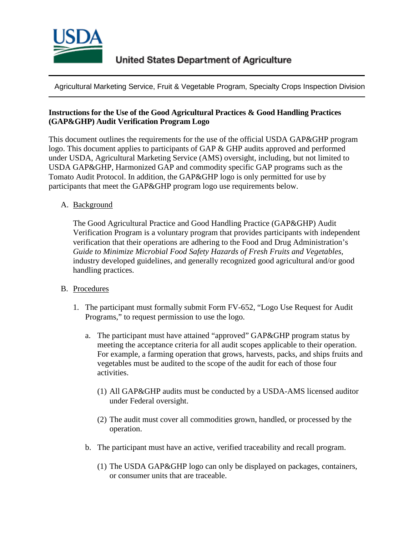

Agricultural Marketing Service, Fruit & Vegetable Program, Specialty Crops Inspection Division

## **Instructions for the Use of the Good Agricultural Practices & Good Handling Practices (GAP&GHP) Audit Verification Program Logo**

This document outlines the requirements for the use of the official USDA GAP&GHP program logo. This document applies to participants of GAP & GHP audits approved and performed under USDA, Agricultural Marketing Service (AMS) oversight, including, but not limited to USDA GAP&GHP, Harmonized GAP and commodity specific GAP programs such as the Tomato Audit Protocol. In addition, the GAP&GHP logo is only permitted for use by participants that meet the GAP&GHP program logo use requirements below.

## A. Background

The Good Agricultural Practice and Good Handling Practice (GAP&GHP) Audit Verification Program is a voluntary program that provides participants with independent verification that their operations are adhering to the Food and Drug Administration's *Guide to Minimize Microbial Food Safety Hazards of Fresh Fruits and Vegetables*, industry developed guidelines, and generally recognized good agricultural and/or good handling practices.

## B. Procedures

- 1. The participant must formally submit Form FV-652, "Logo Use Request for Audit Programs," to request permission to use the logo.
	- a. The participant must have attained "approved" GAP&GHP program status by meeting the acceptance criteria for all audit scopes applicable to their operation. For example, a farming operation that grows, harvests, packs, and ships fruits and vegetables must be audited to the scope of the audit for each of those four activities.
		- (1) All GAP&GHP audits must be conducted by a USDA-AMS licensed auditor under Federal oversight.
		- (2) The audit must cover all commodities grown, handled, or processed by the operation.
	- b. The participant must have an active, verified traceability and recall program.
		- (1) The USDA GAP&GHP logo can only be displayed on packages, containers, or consumer units that are traceable.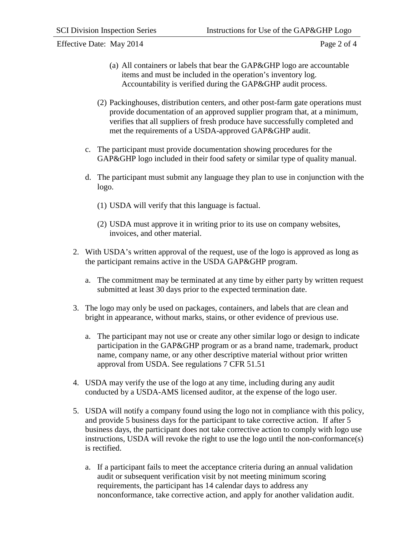Effective Date: May 2014 Page 2 of 4

- (a) All containers or labels that bear the GAP&GHP logo are accountable items and must be included in the operation's inventory log. Accountability is verified during the GAP&GHP audit process.
- (2) Packinghouses, distribution centers, and other post-farm gate operations must provide documentation of an approved supplier program that, at a minimum, verifies that all suppliers of fresh produce have successfully completed and met the requirements of a USDA-approved GAP&GHP audit.
- c. The participant must provide documentation showing procedures for the GAP&GHP logo included in their food safety or similar type of quality manual.
- d. The participant must submit any language they plan to use in conjunction with the logo.
	- (1) USDA will verify that this language is factual.
	- (2) USDA must approve it in writing prior to its use on company websites, invoices, and other material.
- 2. With USDA's written approval of the request, use of the logo is approved as long as the participant remains active in the USDA GAP&GHP program.
	- a. The commitment may be terminated at any time by either party by written request submitted at least 30 days prior to the expected termination date.
- 3. The logo may only be used on packages, containers, and labels that are clean and bright in appearance, without marks, stains, or other evidence of previous use.
	- a. The participant may not use or create any other similar logo or design to indicate participation in the GAP&GHP program or as a brand name, trademark, product name, company name, or any other descriptive material without prior written approval from USDA. See regulations 7 CFR 51.51
- 4. USDA may verify the use of the logo at any time, including during any audit conducted by a USDA-AMS licensed auditor, at the expense of the logo user.
- 5. USDA will notify a company found using the logo not in compliance with this policy, and provide 5 business days for the participant to take corrective action. If after 5 business days, the participant does not take corrective action to comply with logo use instructions, USDA will revoke the right to use the logo until the non-conformance(s) is rectified.
	- a. If a participant fails to meet the acceptance criteria during an annual validation audit or subsequent verification visit by not meeting minimum scoring requirements, the participant has 14 calendar days to address any nonconformance, take corrective action, and apply for another validation audit.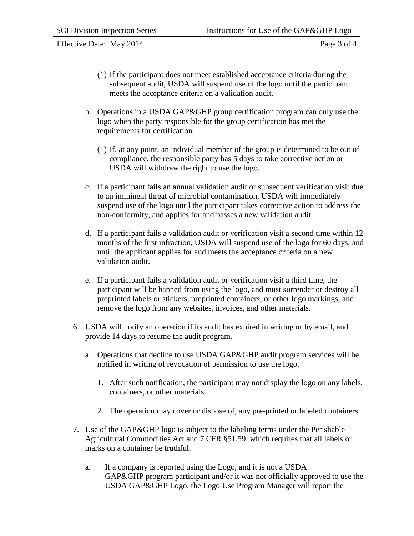Effective Date: May 2014 Page 3 of 4

- (1) If the participant does not meet established acceptance criteria during the subsequent audit, USDA will suspend use of the logo until the participant meets the acceptance criteria on a validation audit.
- b. Operations in a USDA GAP&GHP group certification program can only use the logo when the party responsible for the group certification has met the requirements for certification.
	- (1) If, at any point, an individual member of the group is determined to be out of compliance, the responsible party has 5 days to take corrective action or USDA will withdraw the right to use the logo.
- c. If a participant fails an annual validation audit or subsequent verification visit due to an imminent threat of microbial contamination, USDA will immediately suspend use of the logo until the participant takes corrective action to address the non-conformity, and applies for and passes a new validation audit.
- d. If a participant fails a validation audit or verification visit a second time within 12 months of the first infraction, USDA will suspend use of the logo for 60 days, and until the applicant applies for and meets the acceptance criteria on a new validation audit.
- e. If a participant fails a validation audit or verification visit a third time, the participant will be banned from using the logo, and must surrender or destroy all preprinted labels or stickers, preprinted containers, or other logo markings, and remove the logo from any websites, invoices, and other materials.
- 6. USDA will notify an operation if its audit has expired in writing or by email, and provide 14 days to resume the audit program.
	- a. Operations that decline to use USDA GAP&GHP audit program services will be notified in writing of revocation of permission to use the logo.
		- 1. After such notification, the participant may not display the logo on any labels, containers, or other materials.
		- 2. The operation may cover or dispose of, any pre-printed or labeled containers.
- 7. Use of the GAP&GHP logo is subject to the labeling terms under the Perishable Agricultural Commodities Act and 7 CFR §51.59, which requires that all labels or marks on a container be truthful.
	- a. If a company is reported using the Logo, and it is not a USDA GAP&GHP program participant and/or it was not officially approved to use the USDA GAP&GHP Logo, the Logo Use Program Manager will report the